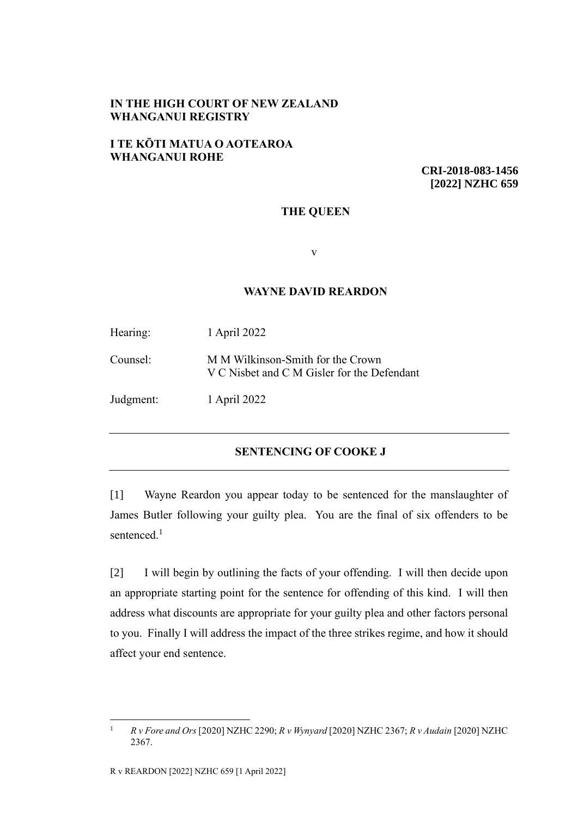## **IN THE HIGH COURT OF NEW ZEALAND WHANGANUI REGISTRY**

## **I TE KŌTI MATUA O AOTEAROA WHANGANUI ROHE**

**CRI-2018-083-1456 [2022] NZHC 659**

### **THE QUEEN**

v

### **WAYNE DAVID REARDON**

| Hearing:  | 1 April 2022                                                                     |
|-----------|----------------------------------------------------------------------------------|
| Counsel:  | M M Wilkinson-Smith for the Crown<br>V C Nisbet and C M Gisler for the Defendant |
| Judgment: | 1 April 2022                                                                     |

## **SENTENCING OF COOKE J**

[1] Wayne Reardon you appear today to be sentenced for the manslaughter of James Butler following your guilty plea. You are the final of six offenders to be sentenced.<sup>1</sup>

<span id="page-0-0"></span>[2] I will begin by outlining the facts of your offending. I will then decide upon an appropriate starting point for the sentence for offending of this kind. I will then address what discounts are appropriate for your guilty plea and other factors personal to you. Finally I will address the impact of the three strikes regime, and how it should affect your end sentence.

<sup>1</sup> *R v Fore and Ors* [2020] NZHC 2290; *R v Wynyard* [2020] NZHC 2367; *R v Audain* [2020] NZHC 2367.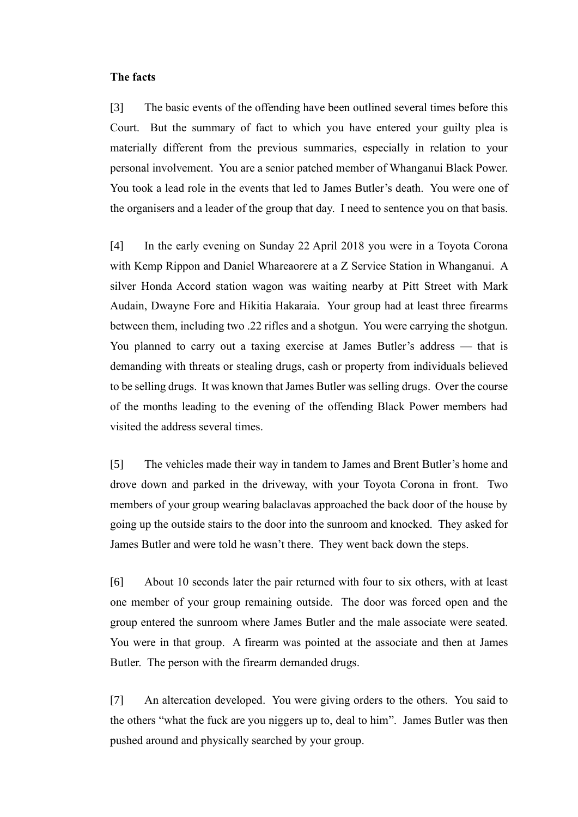#### **The facts**

[3] The basic events of the offending have been outlined several times before this Court. But the summary of fact to which you have entered your guilty plea is materially different from the previous summaries, especially in relation to your personal involvement. You are a senior patched member of Whanganui Black Power. You took a lead role in the events that led to James Butler's death. You were one of the organisers and a leader of the group that day. I need to sentence you on that basis.

[4] In the early evening on Sunday 22 April 2018 you were in a Toyota Corona with Kemp Rippon and Daniel Whareaorere at a Z Service Station in Whanganui. A silver Honda Accord station wagon was waiting nearby at Pitt Street with Mark Audain, Dwayne Fore and Hikitia Hakaraia. Your group had at least three firearms between them, including two .22 rifles and a shotgun. You were carrying the shotgun. You planned to carry out a taxing exercise at James Butler's address — that is demanding with threats or stealing drugs, cash or property from individuals believed to be selling drugs. It was known that James Butler was selling drugs. Over the course of the months leading to the evening of the offending Black Power members had visited the address several times.

[5] The vehicles made their way in tandem to James and Brent Butler's home and drove down and parked in the driveway, with your Toyota Corona in front. Two members of your group wearing balaclavas approached the back door of the house by going up the outside stairs to the door into the sunroom and knocked. They asked for James Butler and were told he wasn't there. They went back down the steps.

[6] About 10 seconds later the pair returned with four to six others, with at least one member of your group remaining outside. The door was forced open and the group entered the sunroom where James Butler and the male associate were seated. You were in that group. A firearm was pointed at the associate and then at James Butler. The person with the firearm demanded drugs.

[7] An altercation developed. You were giving orders to the others. You said to the others "what the fuck are you niggers up to, deal to him". James Butler was then pushed around and physically searched by your group.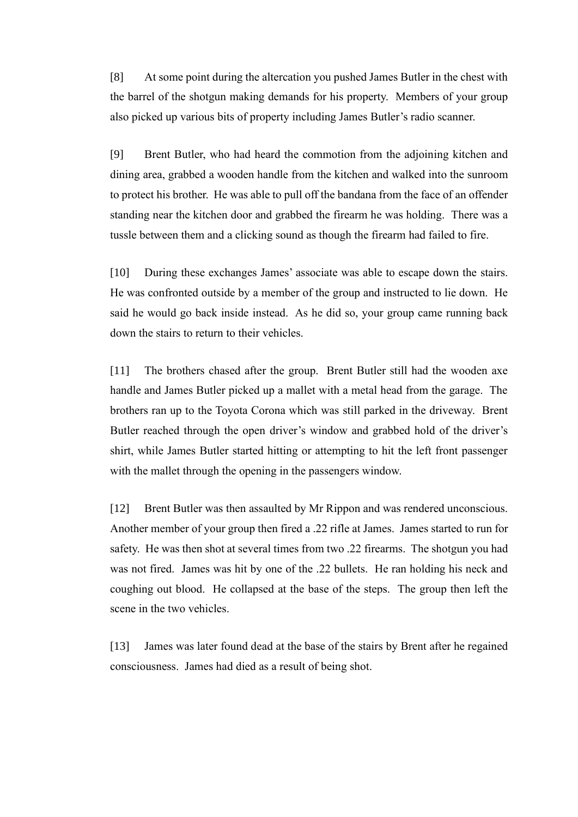[8] At some point during the altercation you pushed James Butler in the chest with the barrel of the shotgun making demands for his property. Members of your group also picked up various bits of property including James Butler's radio scanner.

[9] Brent Butler, who had heard the commotion from the adjoining kitchen and dining area, grabbed a wooden handle from the kitchen and walked into the sunroom to protect his brother. He was able to pull off the bandana from the face of an offender standing near the kitchen door and grabbed the firearm he was holding. There was a tussle between them and a clicking sound as though the firearm had failed to fire.

[10] During these exchanges James' associate was able to escape down the stairs. He was confronted outside by a member of the group and instructed to lie down. He said he would go back inside instead. As he did so, your group came running back down the stairs to return to their vehicles.

[11] The brothers chased after the group. Brent Butler still had the wooden axe handle and James Butler picked up a mallet with a metal head from the garage. The brothers ran up to the Toyota Corona which was still parked in the driveway. Brent Butler reached through the open driver's window and grabbed hold of the driver's shirt, while James Butler started hitting or attempting to hit the left front passenger with the mallet through the opening in the passengers window.

[12] Brent Butler was then assaulted by Mr Rippon and was rendered unconscious. Another member of your group then fired a .22 rifle at James. James started to run for safety. He was then shot at several times from two .22 firearms. The shotgun you had was not fired. James was hit by one of the .22 bullets. He ran holding his neck and coughing out blood. He collapsed at the base of the steps. The group then left the scene in the two vehicles.

[13] James was later found dead at the base of the stairs by Brent after he regained consciousness. James had died as a result of being shot.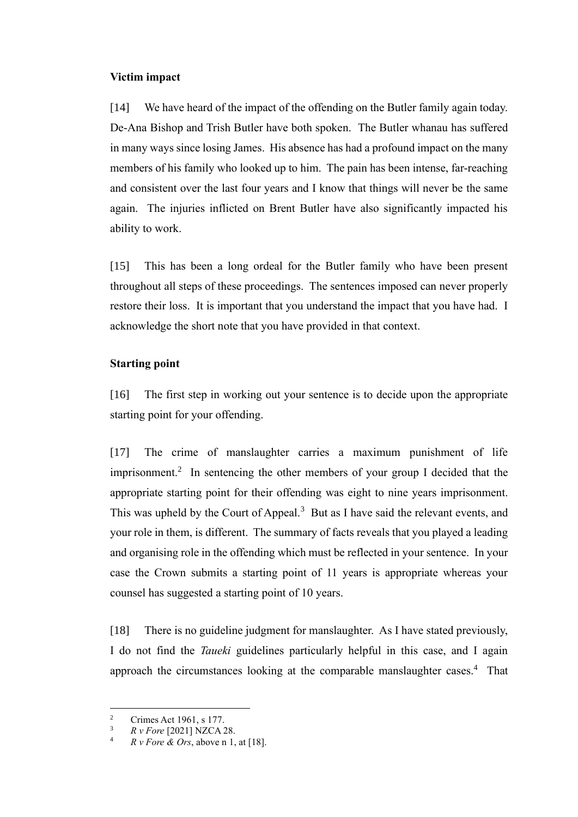### **Victim impact**

[14] We have heard of the impact of the offending on the Butler family again today. De-Ana Bishop and Trish Butler have both spoken. The Butler whanau has suffered in many ways since losing James. His absence has had a profound impact on the many members of his family who looked up to him. The pain has been intense, far-reaching and consistent over the last four years and I know that things will never be the same again. The injuries inflicted on Brent Butler have also significantly impacted his ability to work.

[15] This has been a long ordeal for the Butler family who have been present throughout all steps of these proceedings. The sentences imposed can never properly restore their loss. It is important that you understand the impact that you have had. I acknowledge the short note that you have provided in that context.

# **Starting point**

[16] The first step in working out your sentence is to decide upon the appropriate starting point for your offending.

<span id="page-3-0"></span>[17] The crime of manslaughter carries a maximum punishment of life imprisonment.<sup>2</sup> In sentencing the other members of your group I decided that the appropriate starting point for their offending was eight to nine years imprisonment. This was upheld by the Court of Appeal.<sup>3</sup> But as I have said the relevant events, and your role in them, is different. The summary of facts reveals that you played a leading and organising role in the offending which must be reflected in your sentence. In your case the Crown submits a starting point of 11 years is appropriate whereas your counsel has suggested a starting point of 10 years.

[18] There is no guideline judgment for manslaughter. As I have stated previously, I do not find the *Taueki* guidelines particularly helpful in this case, and I again approach the circumstances looking at the comparable manslaughter cases.<sup>4</sup> That

<sup>&</sup>lt;sup>2</sup> Crimes Act 1961, s 177.

 $R \text{ } v$  *Fore* [2021] NZCA 28.

<sup>4</sup> *R v Fore & Ors*, above n [1,](#page-0-0) at [18].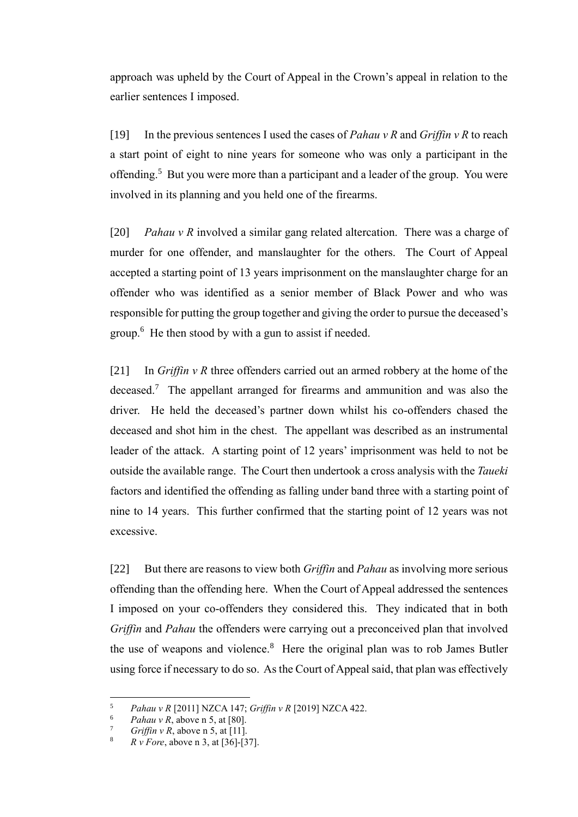approach was upheld by the Court of Appeal in the Crown's appeal in relation to the earlier sentences I imposed.

<span id="page-4-0"></span>[19] In the previous sentences I used the cases of *Pahau v R* and *Griffin v R* to reach a start point of eight to nine years for someone who was only a participant in the offending.<sup>5</sup> But you were more than a participant and a leader of the group. You were involved in its planning and you held one of the firearms.

[20] *Pahau v R* involved a similar gang related altercation. There was a charge of murder for one offender, and manslaughter for the others. The Court of Appeal accepted a starting point of 13 years imprisonment on the manslaughter charge for an offender who was identified as a senior member of Black Power and who was responsible for putting the group together and giving the order to pursue the deceased's group.<sup>6</sup> He then stood by with a gun to assist if needed.

[21] In *Griffin v R* three offenders carried out an armed robbery at the home of the deceased.<sup>7</sup> The appellant arranged for firearms and ammunition and was also the driver. He held the deceased's partner down whilst his co-offenders chased the deceased and shot him in the chest.The appellant was described as an instrumental leader of the attack. A starting point of 12 years' imprisonment was held to not be outside the available range. The Court then undertook a cross analysis with the *Taueki*  factors and identified the offending as falling under band three with a starting point of nine to 14 years. This further confirmed that the starting point of 12 years was not excessive.

[22] But there are reasons to view both *Griffin* and *Pahau* as involving more serious offending than the offending here. When the Court of Appeal addressed the sentences I imposed on your co-offenders they considered this. They indicated that in both *Griffin* and *Pahau* the offenders were carrying out a preconceived plan that involved the use of weapons and violence.<sup>8</sup> Here the original plan was to rob James Butler using force if necessary to do so. As the Court of Appeal said, that plan was effectively

<sup>5</sup> *Pahau v R* [2011] NZCA 147; *Griffin v R* [2019] NZCA 422.

<sup>&</sup>lt;sup>6</sup> *Pahau v R*, above n [5,](#page-4-0) at [80].

 $Griffin v R$ , above n [5,](#page-4-0) at [11].

<sup>8</sup> *R v Fore*, above n [3,](#page-3-0) at [36]-[37].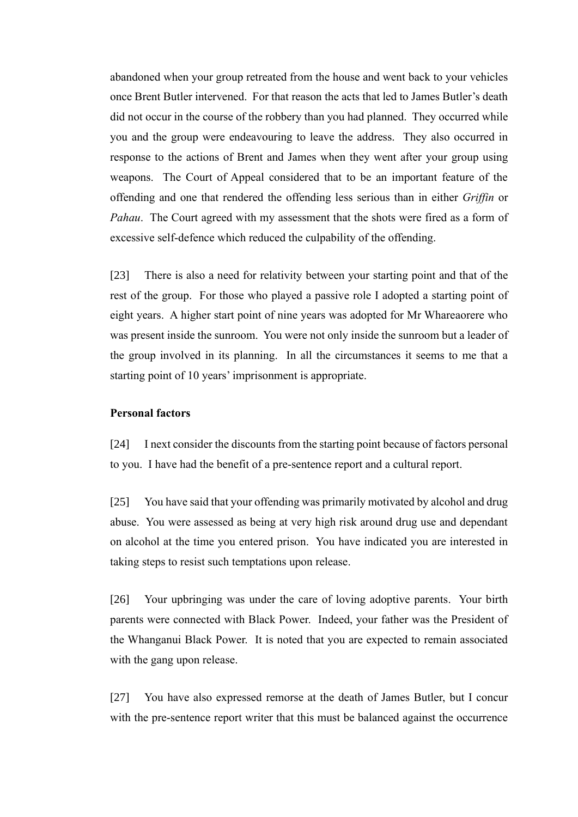abandoned when your group retreated from the house and went back to your vehicles once Brent Butler intervened. For that reason the acts that led to James Butler's death did not occur in the course of the robbery than you had planned. They occurred while you and the group were endeavouring to leave the address. They also occurred in response to the actions of Brent and James when they went after your group using weapons. The Court of Appeal considered that to be an important feature of the offending and one that rendered the offending less serious than in either *Griffin* or *Pahau*. The Court agreed with my assessment that the shots were fired as a form of excessive self-defence which reduced the culpability of the offending.

[23] There is also a need for relativity between your starting point and that of the rest of the group. For those who played a passive role I adopted a starting point of eight years. A higher start point of nine years was adopted for Mr Whareaorere who was present inside the sunroom. You were not only inside the sunroom but a leader of the group involved in its planning. In all the circumstances it seems to me that a starting point of 10 years' imprisonment is appropriate.

### **Personal factors**

[24] I next consider the discounts from the starting point because of factors personal to you. I have had the benefit of a pre-sentence report and a cultural report.

[25] You have said that your offending was primarily motivated by alcohol and drug abuse. You were assessed as being at very high risk around drug use and dependant on alcohol at the time you entered prison. You have indicated you are interested in taking steps to resist such temptations upon release.

[26] Your upbringing was under the care of loving adoptive parents. Your birth parents were connected with Black Power. Indeed, your father was the President of the Whanganui Black Power. It is noted that you are expected to remain associated with the gang upon release.

[27] You have also expressed remorse at the death of James Butler, but I concur with the pre-sentence report writer that this must be balanced against the occurrence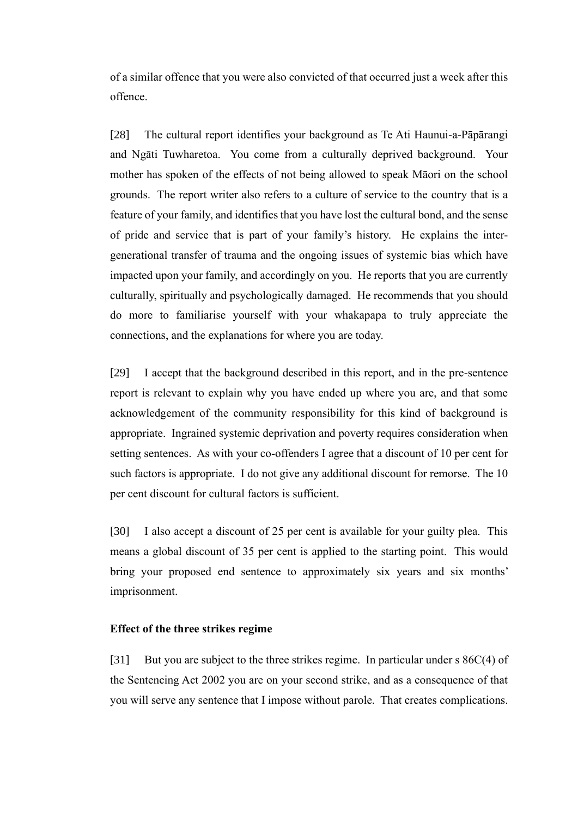of a similar offence that you were also convicted of that occurred just a week after this offence.

[28] The cultural report identifies your background as Te Ati Haunui-a-Pāpārangi and Ngāti Tuwharetoa. You come from a culturally deprived background. Your mother has spoken of the effects of not being allowed to speak Māori on the school grounds. The report writer also refers to a culture of service to the country that is a feature of your family, and identifies that you have lost the cultural bond, and the sense of pride and service that is part of your family's history. He explains the intergenerational transfer of trauma and the ongoing issues of systemic bias which have impacted upon your family, and accordingly on you. He reports that you are currently culturally, spiritually and psychologically damaged. He recommends that you should do more to familiarise yourself with your whakapapa to truly appreciate the connections, and the explanations for where you are today.

[29] I accept that the background described in this report, and in the pre-sentence report is relevant to explain why you have ended up where you are, and that some acknowledgement of the community responsibility for this kind of background is appropriate. Ingrained systemic deprivation and poverty requires consideration when setting sentences. As with your co-offenders I agree that a discount of 10 per cent for such factors is appropriate. I do not give any additional discount for remorse. The 10 per cent discount for cultural factors is sufficient.

[30] I also accept a discount of 25 per cent is available for your guilty plea. This means a global discount of 35 per cent is applied to the starting point. This would bring your proposed end sentence to approximately six years and six months' imprisonment.

#### **Effect of the three strikes regime**

[31] But you are subject to the three strikes regime. In particular under s 86C(4) of the Sentencing Act 2002 you are on your second strike, and as a consequence of that you will serve any sentence that I impose without parole. That creates complications.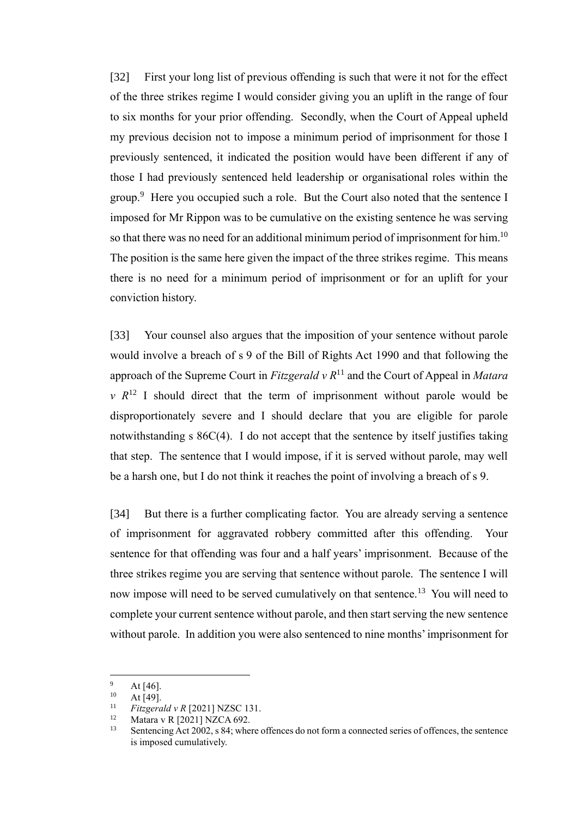[32] First your long list of previous offending is such that were it not for the effect of the three strikes regime I would consider giving you an uplift in the range of four to six months for your prior offending. Secondly, when the Court of Appeal upheld my previous decision not to impose a minimum period of imprisonment for those I previously sentenced, it indicated the position would have been different if any of those I had previously sentenced held leadership or organisational roles within the group.<sup>9</sup> Here you occupied such a role. But the Court also noted that the sentence I imposed for Mr Rippon was to be cumulative on the existing sentence he was serving so that there was no need for an additional minimum period of imprisonment for him.<sup>10</sup> The position is the same here given the impact of the three strikes regime. This means there is no need for a minimum period of imprisonment or for an uplift for your conviction history.

[33] Your counsel also argues that the imposition of your sentence without parole would involve a breach of s 9 of the Bill of Rights Act 1990 and that following the approach of the Supreme Court in *Fitzgerald v R*<sup>11</sup> and the Court of Appeal in *Matara*   $v \, R^{12}$  I should direct that the term of imprisonment without parole would be disproportionately severe and I should declare that you are eligible for parole notwithstanding s 86C(4). I do not accept that the sentence by itself justifies taking that step. The sentence that I would impose, if it is served without parole, may well be a harsh one, but I do not think it reaches the point of involving a breach of s 9.

[34] But there is a further complicating factor. You are already serving a sentence of imprisonment for aggravated robbery committed after this offending. Your sentence for that offending was four and a half years' imprisonment. Because of the three strikes regime you are serving that sentence without parole. The sentence I will now impose will need to be served cumulatively on that sentence.<sup>13</sup> You will need to complete your current sentence without parole, and then start serving the new sentence without parole. In addition you were also sentenced to nine months'imprisonment for

 $\frac{9}{10}$  At [46].

 $10$  At [49].

<sup>&</sup>lt;sup>11</sup> *Fitzgerald v R* [2021] NZSC 131.

 $12$  Matara v R [2021] NZCA 692.

Sentencing Act 2002, s 84; where offences do not form a connected series of offences, the sentence is imposed cumulatively.